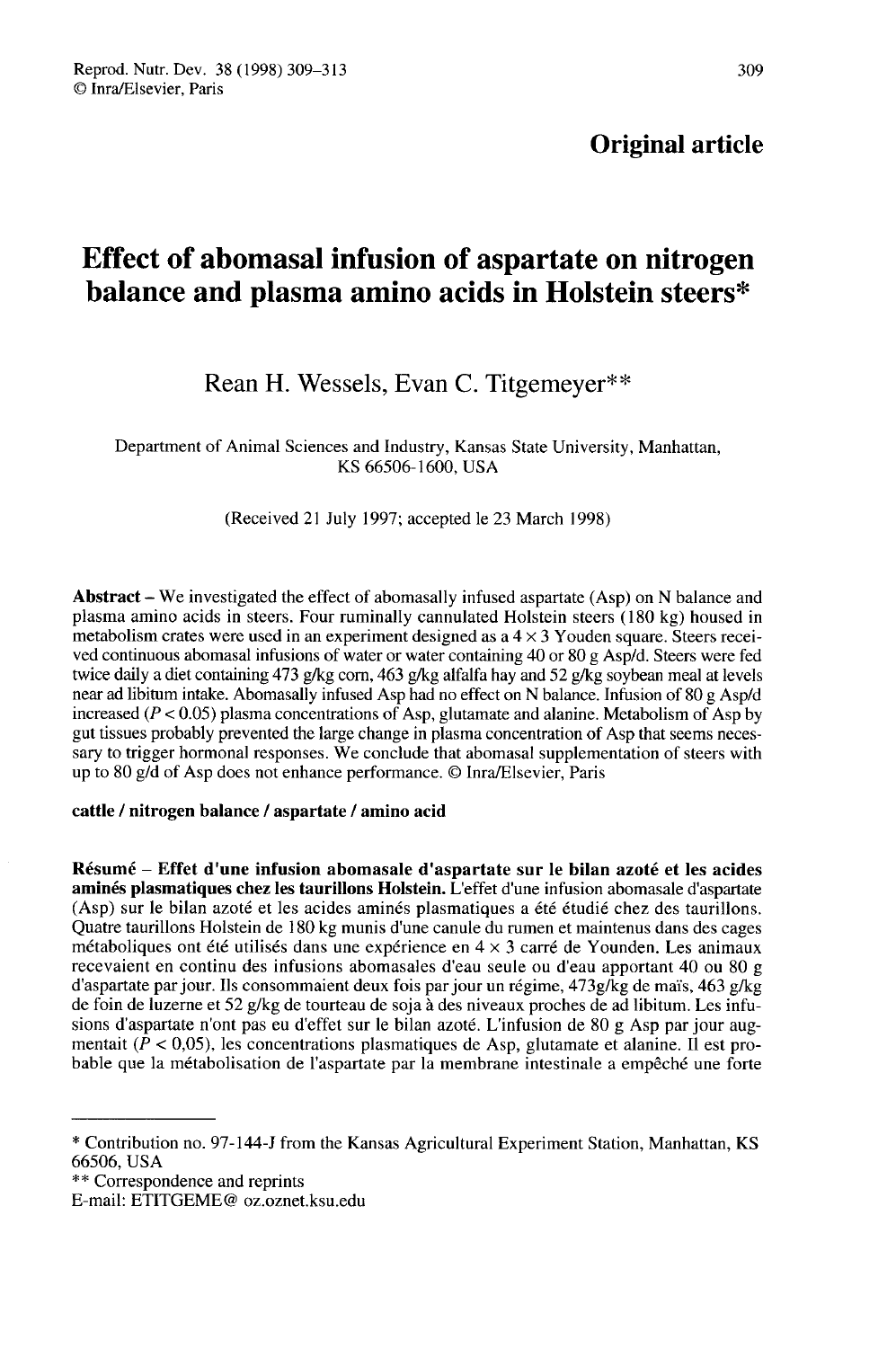# Effect of abomasal infusion of aspartate on nitrogen balance and plasma amino acids in Holstein steers\*

## Rean H. Wessels, Evan C. Titgemeyer

Department of Animal Sciences and Industry, Kansas State University, Manhattan, KS 66506-1600, USA

(Received 21 July 1997; accepted le 23 March 1998)

Abstract - We investigated the effect of abomasally infused aspartate (Asp) on N balance and plasma amino acids in steers. Four ruminally cannulated Holstein steers (180 kg) housed in metabolism crates were used in an experiment designed as  $a \times 3$  Youden square. Steers received continuous abomasal infusions of water or water containing 40 or 80 g Asp/d. Steers were fed twice daily a diet containing 473 g/kg corn, 463 g/kg alfalfa hay and 52 g/kg soybean meal at levels near ad libitum intake. Abomasally infused Asp had no effect on N balance. Infusion of 80 g Asp/d increased ( $P < 0.05$ ) plasma concentrations of Asp, glutamate and alanine. Metabolism of Asp by gut tissues probably prevented the large change in plasma concentration of Asp that seems necessary to trigger hormonal responses. We conclude that abomasal supplementation of steers with up to 80 g/d of Asp does not enhance performance. © Inra/Elsevier, Paris

#### cattle / nitrogen balance / aspartate / amino acid

Résumé - Effet d'une infusion abomasale d'aspartate sur le bilan azoté et les acides aminés plasmatiques chez les taurillons Holstein. L'effet d'une infusion abomasale d'aspartate (Asp) sur le bilan azoté et les acides aminés plasmatiques a été étudié chez des taurillons. Quatre taurillons Holstein de 180 kg munis d'une canule du rumen et maintenus dans des cages métaboliques ont été utilisés dans une expérience en  $4 \times 3$  carré de Younden. Les animaux recevaient en continu des infusions abomasales d'eau seule ou d'eau apportant 40 ou 80 g d'aspartate par jour. Ils consommaient deux fois par jour un régime, 473g/kg de maïs, 463 g/kg de foin de luzerne et 52 g/kg de tourteau de soja à des niveaux proches de ad libitum. Les infusions d'aspartate n'ont pas eu d'effet sur le bilan azoté. L'infusion de 80 g Asp par jour augmentait ( $\overline{P}$  < 0,05), les concentrations plasmatiques de Asp, glutamate et alanine. Il est probable que la métabolisation de l'aspartate par la membrane intestinale a empêché une forte

<sup>\*</sup> Contribution no. 97-144-J from the Kansas Agricultural Experiment Station, Manhattan, KS

<sup>\*\*</sup> Correspondence and reprints

E-mail: ETITGEME@ oz.oznet.ksu.edu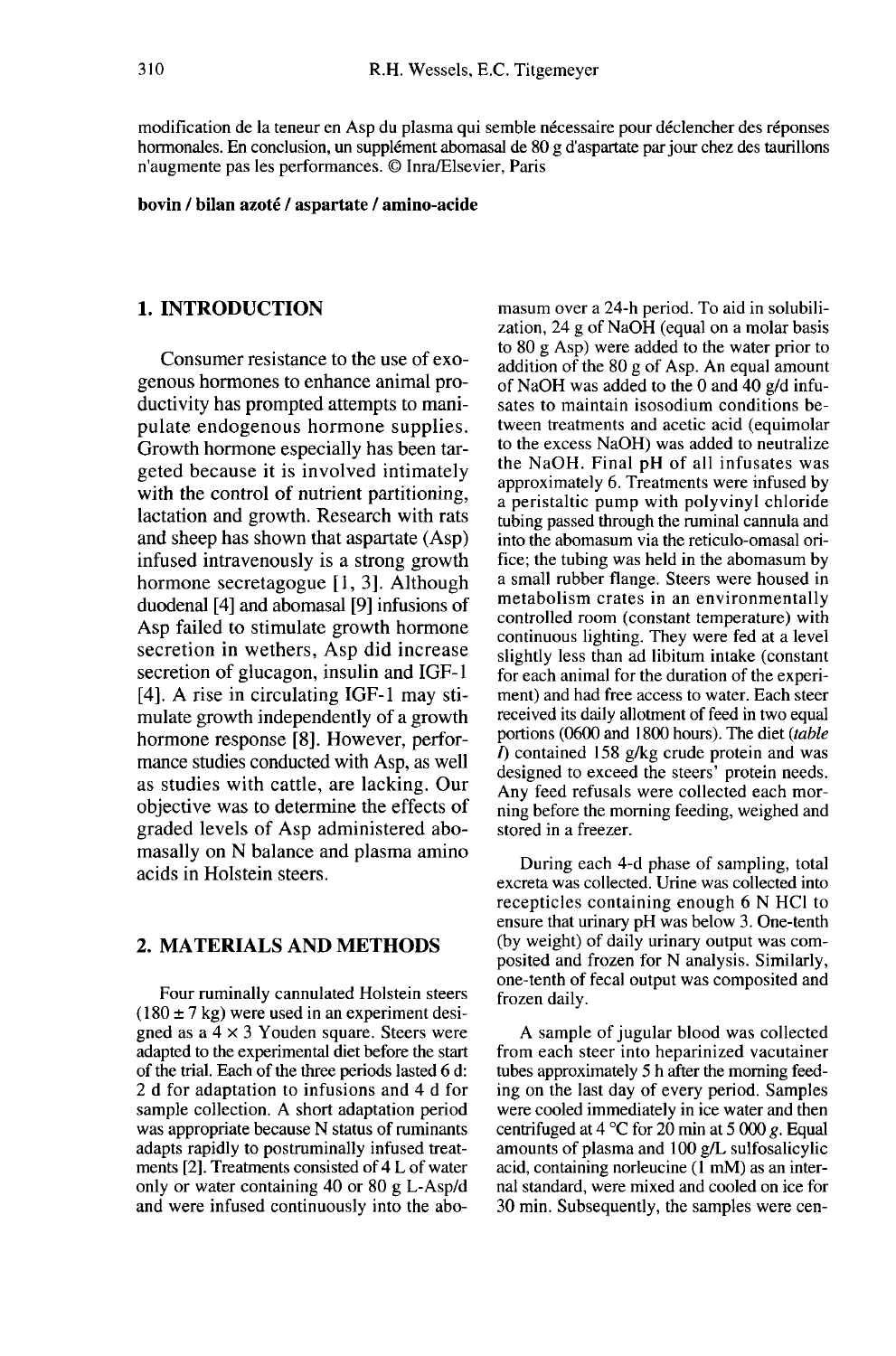modification de la teneur en Asp du plasma qui semble nécessaire pour déclencher des réponses hormonales. En conclusion, un supplément abomasal de 80 g d'aspartate par jour chez des taurillons n'augmente pas les performances. @ Inra/Elsevier, Paris

bovin / bilan azoté / aspartate / amino-acide

#### 1. INTRODUCTION

Consumer resistance to the use of exogenous hormones to enhance animal productivity has prompted attempts to manipulate endogenous hormone supplies. Growth hormone especially has been targeted because it is involved intimately with the control of nutrient partitioning, lactation and growth. Research with rats and sheep has shown that aspartate (Asp) infused intravenously is a strong growth hormone secretagogue [1, 3]. Although duodenal [4] and abomasal [9] infusions of Asp failed to stimulate growth hormone secretion in wethers, Asp did increase secretion of glucagon, insulin and IGF-1 [4]. A rise in circulating IGF-1 may stimulate growth independently of a growth hormone response [8]. However, perfor mance studies conducted with Asp, as well as studies with cattle, are lacking. Our objective was to determine the effects of graded levels of Asp administered abomasally on N balance and plasma amino acids in Holstein steers.

#### 2. MATERIALS AND METHODS

Four ruminally cannulated Holstein steers  $(180 \pm 7 \text{ kg})$  were used in an experiment designed as a  $4 \times 3$  Youden square. Steers were adapted to the experimental diet before the start of the trial. Each of the three periods lasted 6 d: 2 d for adaptation to infusions and 4 d for sample collection. A short adaptation period was appropriate because N status of ruminants adapts rapidly to postruminally infused treatments [2]. Treatments consisted of 4 L of water only or water containing 40 or 80 g L-Asp/d and were infused continuously into the abo-

masum over a 24-h period. To aid in solubilization, 24 g of NaOH (equal on a molar basis to 80 g Asp) were added to the water prior to addition of the 80 g of Asp. An equal amount of NaOH was added to the 0 and 40 g/d infusates to maintain isosodium conditions between treatments and acetic acid (equimolar to the excess NaOH) was added to neutralize the NaOH. Final pH of all infusates was approximately 6. Treatments were infused by a peristaltic pump with polyvinyl chloride tubing passed through the ruminal cannula and into the abomasum via the reticulo-omasal orifice; the tubing was held in the abomasum by a small rubber flange. Steers were housed in metabolism crates in an environmentally controlled room (constant temperature) with continuous lighting. They were fed at a level slightly less than ad libitum intake (constant for each animal for the duration of the experiment) and had free access to water. Each steer received its daily allotment of feed in two equal portions (0600 and 1800 hours). The diet (table  $\Lambda$  contained 158 g/kg crude protein and was designed to exceed the steers' protein needs. Any feed refusals were collected each morning before the morning feeding, weighed and stored in a freezer.

During each 4-d phase of sampling, total excreta was collected. Urine was collected into recepticles containing enough 6 N HCI to ensure that urinary pH was below 3. One-tenth (by weight) of daily urinary output was composited and frozen for N analysis. Similarly, one-tenth of fecal output was composited and frozen daily.

A sample of jugular blood was collected from each steer into heparinized vacutainer tubes approximately 5 h after the morning feeding on the last day of every period. Samples were cooled immediately in ice water and then centrifuged at  $4^{\circ}$ C for 20 min at 5 000 g. Equal amounts of plasma and 100 g/L sulfosalicylic acid, containing norleucine  $(1 \text{ mM})$  as an internal standard, were mixed and cooled on ice for 30 min. Subsequently, the samples were cen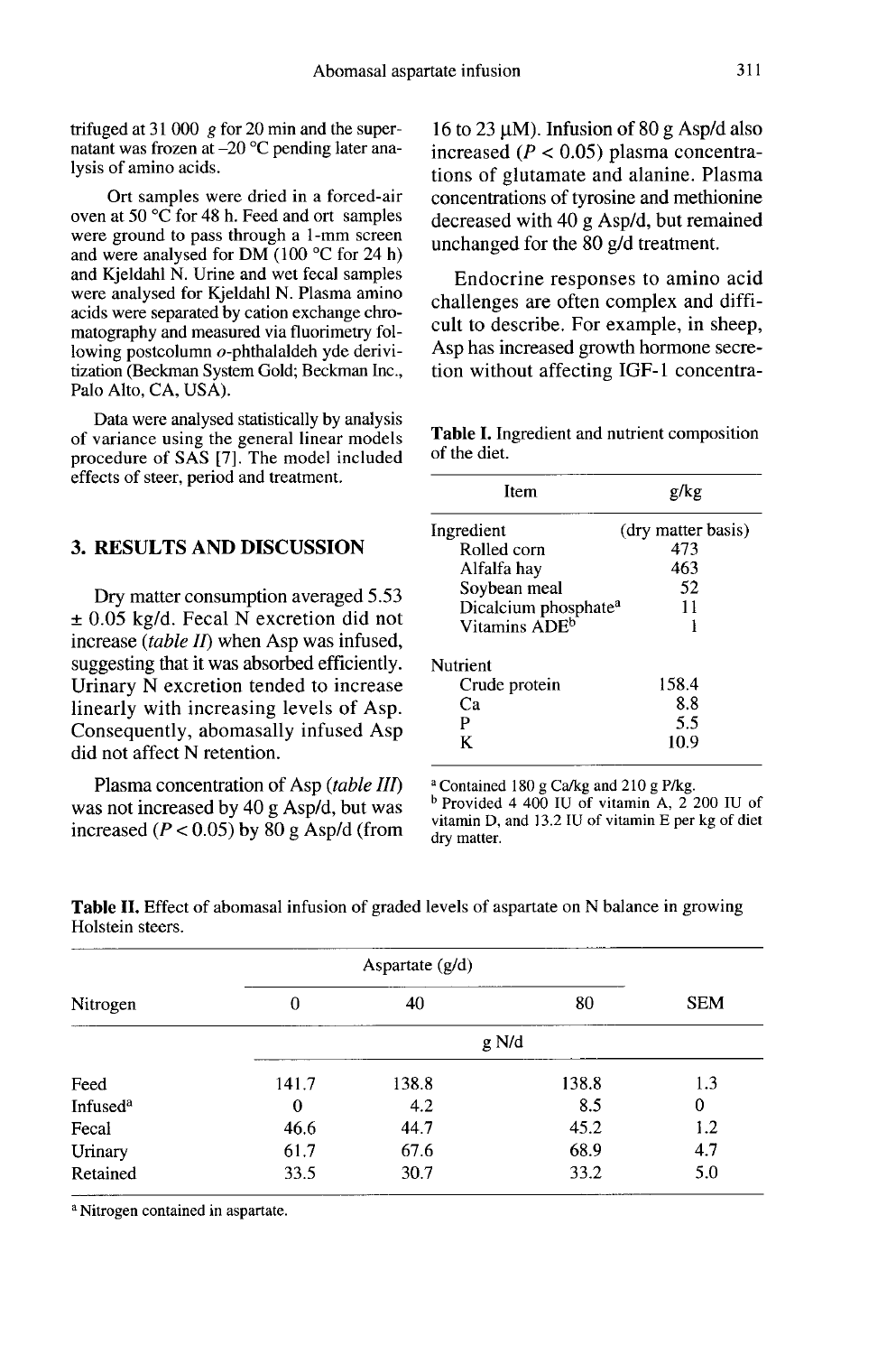trifuged at 31 000  $\varrho$  for 20 min and the supernatant was frozen at -20 °C pending later analysis of amino acids.

Ort samples were dried in a forced-air<br>oven at 50  $^{\circ}$ C for 48 h. Feed and ort samples were ground to pass through a 1-mm screen and were analysed for DM (100 °C for 24 h) and Kjeldahl N. Urine and wet fecal samples were analysed for Kjeldahl N. Plasma amino acids were separated by cation exchange chromatography and measured via fluorimetry following postcolumn o-phthalaldeh yde derivitization (Beckman System Gold; Beckman Inc., Palo Alto, CA, USA).

Data were analysed statistically by analysis of variance using the general linear models procedure of SAS [7]. The model included effects of steer, period and treatment.

### 3. RESULTS AND DISCUSSION

Dry matter consumption averaged 5.53  $\pm$  0.05 kg/d. Fecal N excretion did not increase (table II) when Asp was infused, suggesting that it was absorbed efficiently. Urinary N excretion tended to increase linearly with increasing levels of Asp. Consequently, abomasally infused Asp did not affect N retention.

Plasma concentration of Asp (table III) was not increased by 40 g Asp/d, but was increased ( $P < 0.05$ ) by 80 g Asp/d (from

16 to 23  $\mu$ M). Infusion of 80 g Asp/d also increased ( $P < 0.05$ ) plasma concentrations of glutamate and alanine. Plasma concentrations of tyrosine and methionine decreased with 40 g Asp/d, but remained unchanged for the 80 g/d treatment.

Endocrine responses to amino acid challenges are often complex and difficult to describe. For example, in sheep, Asp has increased growth hormone secretion without affecting IGF-1 concentra-

Table I. Ingredient and nutrient composition of the diet.

| Item                             | g/kg               |
|----------------------------------|--------------------|
| Ingredient                       | (dry matter basis) |
| Rolled corn                      | 473                |
| Alfalfa hay                      | 463                |
| Soybean meal                     | 52                 |
| Dicalcium phosphate <sup>a</sup> | 11                 |
| Vitamins ADE <sup>b</sup>        |                    |
| Nutrient                         |                    |
| Crude protein                    | 158.4              |
| Cа                               | 8.8                |
| P                                | 5.5                |
| K                                | 10.9               |

<sup>a</sup> Contained 180 g Ca/kg and 210 g P/kg.

 $<sup>b</sup>$  Provided 4 400 IU of vitamin A, 2 200 IU of</sup> vitamin D, and 13.2 IU of vitamin E per kg of diet dry matter.

| Nitrogen             |          |       |       |            |  |
|----------------------|----------|-------|-------|------------|--|
|                      | 0        | 40    | 80    | <b>SEM</b> |  |
|                      | g N/d    |       |       |            |  |
| Feed                 | 141.7    | 138.8 | 138.8 | 1.3        |  |
| Infused <sup>a</sup> | $\bf{0}$ | 4.2   | 8.5   | $\bf{0}$   |  |
| Fecal                | 46.6     | 44.7  | 45.2  | 1.2        |  |
| Urinary              | 61.7     | 67.6  | 68.9  | 4.7        |  |
| Retained             | 33.5     | 30.7  | 33.2  | 5.0        |  |

**Table II.** Effect of abomasal infusion of graded levels of aspartate on N balance in growing Holstein steers.

<sup>a</sup> Nitrogen contained in aspartate.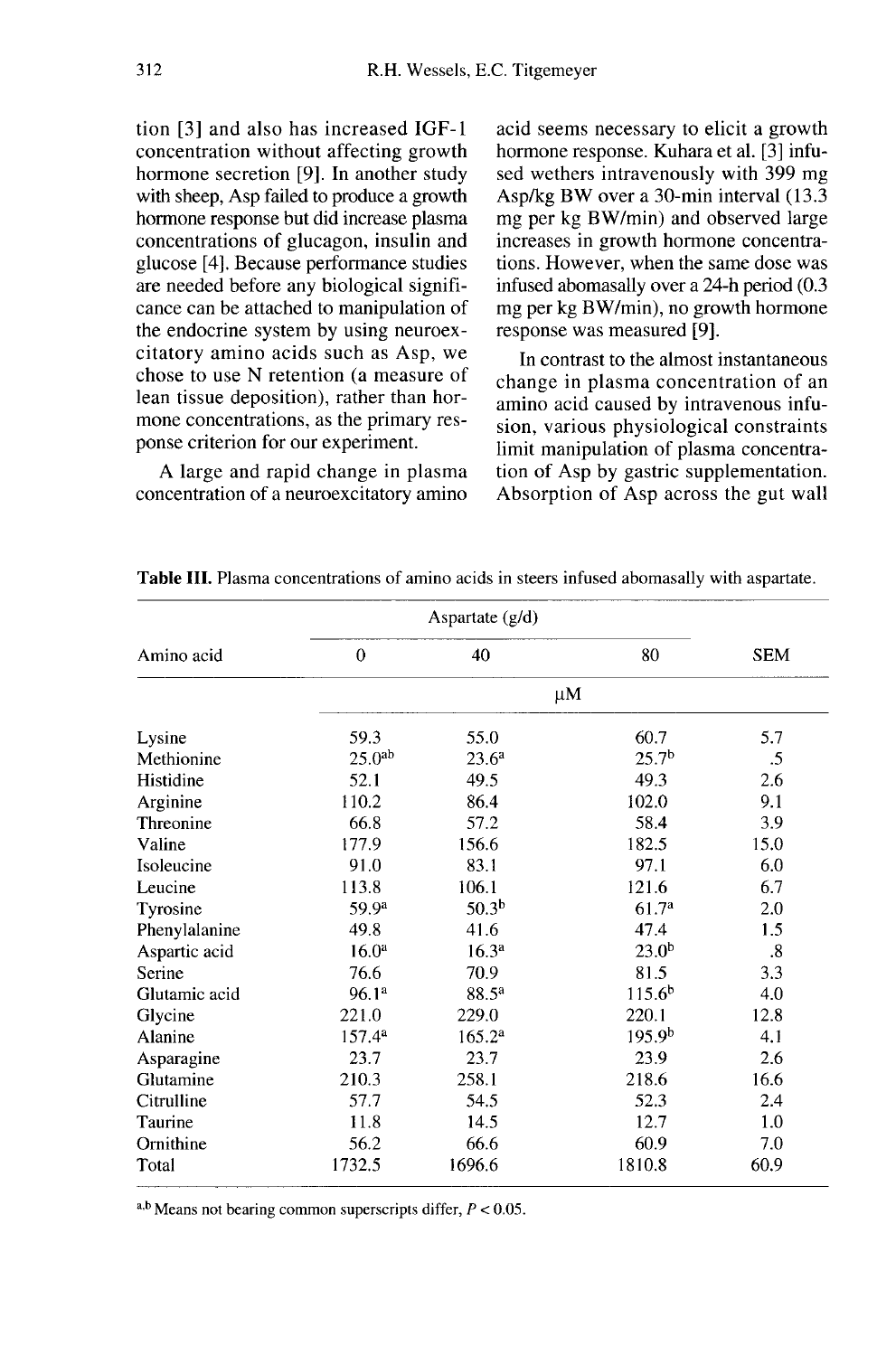tion [3] and also has increased IGF-1 concentration without affecting growth hormone secretion [9]. In another study with sheep, Asp failed to produce a growth hormone response but did increase plasma concentrations of glucagon, insulin and glucose [4]. Because performance studies are needed before any biological signifi cance can be attached to manipulation of the endocrine system by using neuroexcitatory amino acids such as Asp, we chose to use N retention (a measure of lean tissue deposition), rather than hormone concentrations, as the primary response criterion for our experiment.

A large and rapid change in plasma concentration of a neuroexcitatory amino acid seems necessary to elicit a growth hormone response. Kuhara et al. [3] infused wethers intravenously with 399 mg Asp/kg BW over a 30-min interval (13.3 mg per kg BW/min) and observed large increases in growth hormone concentrations. However, when the same dose was infused abomasally over a 24-h period (0.3 mg per kg BW/min), no growth hormone response was measured [9].

In contrast to the almost instantaneous change in plasma concentration of an amino acid caused by intravenous infusion, various physiological constraints limit manipulation of plasma concentration of Asp by gastric supplementation. Absorption of Asp across the gut wall

|               | Aspartate $(g/d)$  |                    |                    |                   |  |
|---------------|--------------------|--------------------|--------------------|-------------------|--|
| Amino acid    | $\bf{0}$           | 40                 | 80                 | <b>SEM</b>        |  |
|               | $\mu$ M            |                    |                    |                   |  |
| Lysine        | 59.3               | 55.0               | 60.7               | 5.7               |  |
| Methionine    | 25.0 <sup>ab</sup> | $23.6^a$           | 25.7 <sup>b</sup>  | .5                |  |
| Histidine     | 52.1               | 49.5               | 49.3               | 2.6               |  |
| Arginine      | 110.2              | 86.4               | 102.0              | 9.1               |  |
| Threonine     | 66.8               | 57.2               | 58.4               | 3.9               |  |
| Valine        | 177.9              | 156.6              | 182.5              | 15.0              |  |
| Isoleucine    | 91.0               | 83.1               | 97.1               | 6.0               |  |
| Leucine       | 113.8              | 106.1              | 121.6              | 6.7               |  |
| Tyrosine      | 59.9 <sup>a</sup>  | 50.3 <sup>b</sup>  | 61.7 <sup>a</sup>  | 2.0               |  |
| Phenylalanine | 49.8               | 41.6               | 47.4               | 1.5               |  |
| Aspartic acid | 16.0 <sup>a</sup>  | 16.3 <sup>a</sup>  | 23.0 <sup>b</sup>  | $\boldsymbol{.8}$ |  |
| Serine        | 76.6               | 70.9               | 81.5               | 3.3               |  |
| Glutamic acid | 96.1 <sup>a</sup>  | $88.5^{a}$         | 115.6 <sup>b</sup> | 4.0               |  |
| Glycine       | 221.0              | 229.0              | 220.1              | 12.8              |  |
| Alanine       | $157.4^{\rm a}$    | 165.2 <sup>a</sup> | 195.9 <sup>b</sup> | 4.1               |  |
| Asparagine    | 23.7               | 23.7               | 23.9               | 2.6               |  |
| Glutamine     | 210.3              | 258.1              | 218.6              | 16.6              |  |
| Citrulline    | 57.7               | 54.5               | 52.3               | 2.4               |  |
| Taurine       | 11.8               | 14.5               | 12.7               | 1.0               |  |
| Ornithine     | 56.2               | 66.6               | 60.9               | 7.0               |  |
| Total         | 1732.5             | 1696.6             | 1810.8             | 60.9              |  |

**Table III.** Plasma concentrations of amino acids in steers infused abomasally with aspartate.

a,b Means not bearing common superscripts differ,  $P < 0.05$ .